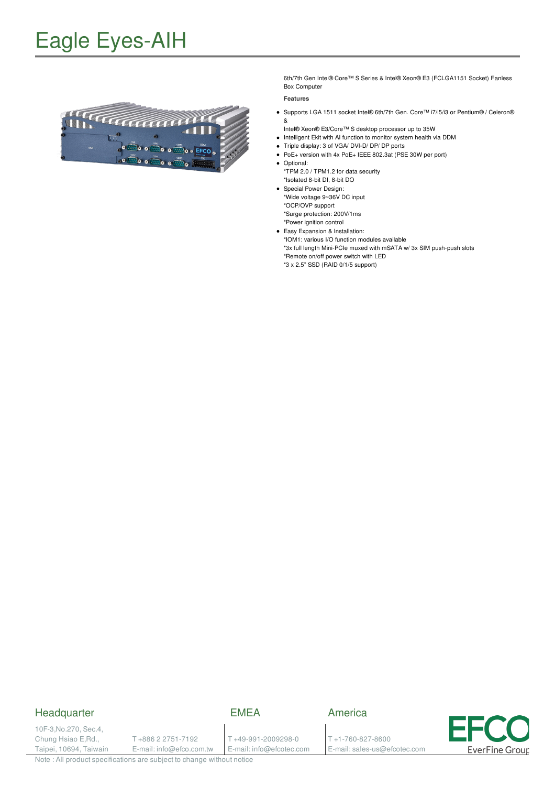## Eagle Eyes-AIH



6th/7th Gen Intel® Core™ S Series & Intel® Xeon® E3 (FCLGA1151 Socket) Fanless Box Computer

#### **Features**

- Supports LGA 1511 socket Intel® 6th/7th Gen. Core™ i7/i5/i3 or Pentium® /Celeron® &
- Intel® Xeon® E3/Core™ S desktop processor up to 35W
- Intelligent Ekit with AI function to monitor system health via DDM
- Triple display: 3 of VGA/ DVI-D/ DP/ DP ports
- PoE+ version with 4x PoE+ IEEE 802.3at (PSE 30W per port)
- Optional: \*TPM 2.0 / TPM1.2 for data security
- \*Isolated 8-bit DI, 8-bit DO
- Special Power Design: \*Wide voltage 9~36V DC input
- \*OCP/OVP support
- \*Surge protection: 200V/1ms
- \*Power ignition control
- Easy Expansion & Installation: \*IOM1: various I/O function modules available

\*3x full length Mini-PCIe muxed with mSATA w/ 3x SIM push-push slots \*Remote on/off power switch with LED

\*3 x 2.5" SSD (RAID 0/1/5 support)

#### **Headquarter**

### EMEA

10F-3,No.270, Sec.4, Chung Hsiao E,Rd., Taipei, 10694, Taiwain

T +886 2 2751-7192 E-mail: info@efco.com.tw

#### T +49-991-2009298-0 E-mail: info@efcotec.com

T +1-760-827-8600 E-mail: sales-us@efcotec.com

America

**EverFine Group** 

Note : All product specifications are subject to change without notice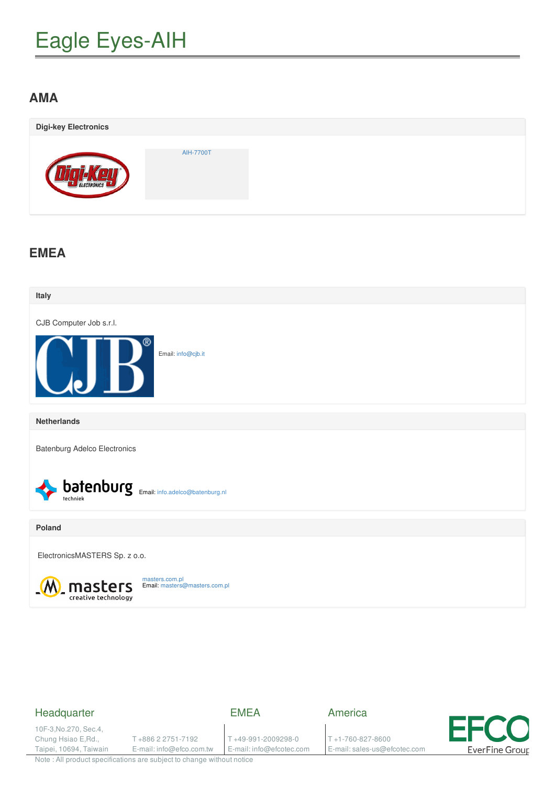# Eagle Eyes-AIH

## **AMA**

| <b>Digi-key Electronics</b> |           |  |
|-----------------------------|-----------|--|
| ELECTRONICS                 | AIH-7700T |  |

## **EMEA**



### Headquarter

EMEA

10F-3,No.270, Sec.4, Chung Hsiao E,Rd., Taipei, 10694, Taiwain

T +886 2 2751-7192 E-mail: info@efco.com.tw

T +49-991-2009298-0 E-mail: info@efcotec.com America

T +1-760-827-8600 E-mail: sales-us@efcotec.com



Note : All product specifications are subject to change without notice